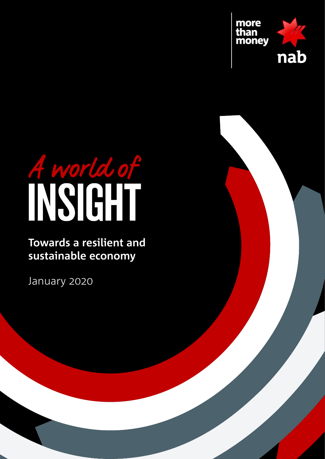

# A world of

**Towards a resilient and sustainable economy**

January 2020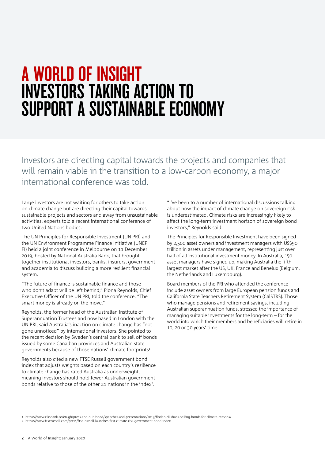# A WORLD OF INSIGHT INVESTORS TAKING ACTION TO SUPPORT A SUSTAINABLE ECONOMY

Investors are directing capital towards the projects and companies that will remain viable in the transition to a low-carbon economy, a major international conference was told.

Large investors are not waiting for others to take action on climate change but are directing their capital towards sustainable projects and sectors and away from unsustainable activities, experts told a recent international conference of two United Nations bodies.

The UN Principles for Responsible Investment (UN PRI) and the UN Environment Programme Finance Initiative (UNEP FI) held a joint conference in Melbourne on 11 December 2019, hosted by National Australia Bank, that brought together institutional investors, banks, insurers, government and academia to discuss building a more resilient financial system.

"The future of finance is sustainable finance and those who don't adapt will be left behind," Fiona Reynolds, Chief Executive Officer of the UN PRI, told the conference. "The smart money is already on the move."

Reynolds, the former head of the Australian Institute of Superannuation Trustees and now based in London with the UN PRI, said Australia's inaction on climate change has "not gone unnoticed" by international investors. She pointed to the recent decision by Sweden's central bank to sell off bonds issued by some Canadian provinces and Australian state governments because of those nations' climate footprints<sup>1</sup>.

Reynolds also cited a new FTSE Russell government bond index that adjusts weights based on each country's resilience to climate change has rated Australia as underweight, meaning investors should hold fewer Australian government bonds relative to those of the other 21 nations in the index<sup>2</sup>.

"I've been to a number of international discussions talking about how the impact of climate change on sovereign risk is underestimated. Climate risks are increasingly likely to affect the long-term investment horizon of sovereign bond investors," Reynolds said.

The Principles for Responsible Investment have been signed by 2,500 asset owners and investment managers with US\$90 trillion in assets under management, representing just over half of all institutional investment money. In Australia, 150 asset managers have signed up, making Australia the fifth largest market after the US, UK, France and Benelux (Belgium, the Netherlands and Luxembourg).

Board members of the PRI who attended the conference include asset owners from large European pension funds and California State Teachers Retirement System (CalSTRS). Those who manage pensions and retirement savings, including Australian superannuation funds, stressed the importance of managing suitable investments for the long-term – for the world into which their members and beneficiaries will retire in 10, 20 or 30 years' time.

1. <https://www.riksbank.se/en-gb/press-and-published/speeches-and-presentations/2019/floden-riksbank-selling-bonds-for-climate-reasons/>

<sup>2.</sup> <https://www.ftserussell.com/press/ftse-russell-launches-first-climate-risk-government-bond-index>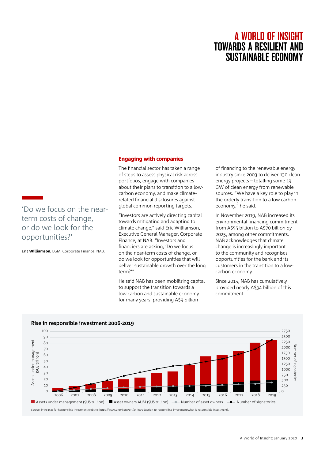# Engaging with companies

The financial sector has taken a range of steps to assess physical risk across portfolios, engage with companies about their plans to transition to a lowcarbon economy, and make climaterelated financial disclosures against global common reporting targets.

"Investors are actively directing capital towards mitigating and adapting to climate change," said Eric Williamson, Executive General Manager, Corporate Finance, at NAB. "Investors and financiers are asking, 'Do we focus on the near-term costs of change, or do we look for opportunities that will deliver sustainable growth over the long term?'"

He said NAB has been mobilising capital to support the transition towards a low carbon and sustainable economy for many years, providing A\$9 billion

of financing to the renewable energy industry since 2003 to deliver 130 clean energy projects – totalling some 19 GW of clean energy from renewable sources. "We have a key role to play in the orderly transition to a low carbon economy," he said.

In November 2019, NAB increased its environmental financing commitment from A\$55 billion to A\$70 billion by 2025, among other commitments. NAB acknowledges that climate change is increasingly important to the community and recognises opportunities for the bank and its customers in the transition to a lowcarbon economy.

Since 2015, NAB has cumulatively provided nearly A\$34 billion of this commitment.



# **[Rise in responsible investment 2006-2019](https://www.unpri.org/pri/an-introduction-to-responsible-investment/what-is-responsible-investment)**

'Do we focus on the near-

Eric Williamson, EGM, Corporate Finance, NAB.

term costs of change, or do we look for the

opportunities?'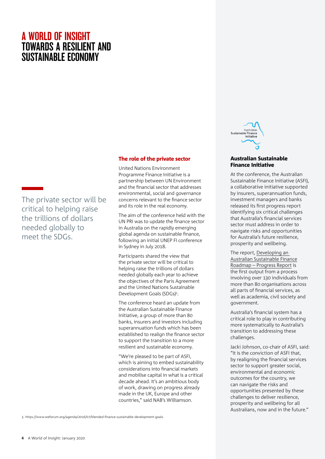The private sector will be critical to helping raise the trillions of dollars needed globally to meet the SDGs.

## The role of the private sector

United Nations Environment Programme Finance Initiative is a partnership between UN Environment and the financial sector that addresses environmental, social and governance concerns relevant to the finance sector and its role in the real economy.

The aim of the conference held with the UN PRI was to update the finance sector in Australia on the rapidly emerging global agenda on sustainable finance, following an initial UNEP FI conference in Sydney in July 2018.

Participants shared the view that the private sector will be critical to helping raise the trillions of dollars needed globally each year to achieve the objectives of the Paris Agreement and the United Nations Sustainable Development Goals (SDGs)<sup>3</sup>.

The conference heard an update from the Australian Sustainable Finance Initiative, a group of more than 80 banks, insurers and investors including superannuation funds which has been established to realign the finance sector to support the transition to a more resilient and sustainable economy.

"We're pleased to be part of ASFI, which is aiming to embed sustainability considerations into financial markets and mobilise capital in what is a critical decade ahead. It's an ambitious body of work, drawing on progress already made in the UK, Europe and other countries," said NAB's Williamson.

3. <https://www.weforum.org/agenda/2016/07/blended-finance-sustainable-development-goals>



### Australian Sustainable Finance Initiative

At the conference, the Australian Sustainable Finance Initiative (ASFI), a collaborative initiative supported by insurers, superannuation funds, investment managers and banks released its first progress report identifying six critical challenges that Australia's financial services sector must address in order to navigate risks and opportunities for Australia's future resilience, prosperity and wellbeing.

The report, [Developing an](https://static1.squarespace.com/static/5c982bfaa5682794a1f08aa3/t/5df2e164eeaf93748a20a4af/1576198520302/ASFI+Progress+Report+%28Final%29.pdf)  [Australian Sustainable Finance](https://static1.squarespace.com/static/5c982bfaa5682794a1f08aa3/t/5df2e164eeaf93748a20a4af/1576198520302/ASFI+Progress+Report+%28Final%29.pdf) [Roadmap – Progress Report](https://static1.squarespace.com/static/5c982bfaa5682794a1f08aa3/t/5df2e164eeaf93748a20a4af/1576198520302/ASFI+Progress+Report+%28Final%29.pdf) is the first output from a process involving over 130 individuals from more than 80 organisations across all parts of financial services, as well as academia, civil society and government.

Australia's financial system has a critical role to play in contributing more systematically to Australia's transition to addressing these challenges.

Jacki Johnson, co-chair of ASFI, said: "It is the conviction of ASFI that, by realigning the financial services sector to support greater social, environmental and economic outcomes for the country, we can navigate the risks and opportunities presented by these challenges to deliver resilience, prosperity and wellbeing for all Australians, now and in the future."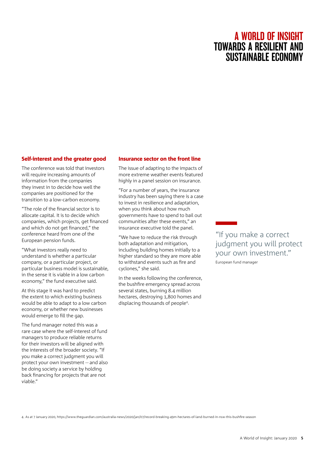# Self-interest and the greater good

The conference was told that investors will require increasing amounts of information from the companies they invest in to decide how well the companies are positioned for the transition to a low-carbon economy.

"The role of the financial sector is to allocate capital. It is to decide which companies, which projects, get financed and which do not get financed," the conference heard from one of the European pension funds.

"What investors really need to understand is whether a particular company, or a particular project, or particular business model is sustainable, in the sense it is viable in a low carbon economy," the fund executive said.

At this stage it was hard to predict the extent to which existing business would be able to adapt to a low carbon economy, or whether new businesses would emerge to fill the gap.

The fund manager noted this was a rare case where the self-interest of fund managers to produce reliable returns for their investors will be aligned with the interests of the broader society. "If you make a correct judgment you will protect your own investment -- and also be doing society a service by holding back financing for projects that are not viable."

# Insurance sector on the front line

The issue of adapting to the impacts of more extreme weather events featured highly in a panel session on insurance.

"For a number of years, the insurance industry has been saying there is a case to invest in resilience and adaptation, when you think about how much governments have to spend to bail out communities after these events," an insurance executive told the panel.

"We have to reduce the risk through both adaptation and mitigation, including building homes initially to a higher standard so they are more able to withstand events such as fire and cyclones," she said.

In the weeks following the conference, the bushfire emergency spread across several states, burning 8.4 million hectares, destroying 1,800 homes and displacing thousands of people4.

"If you make a correct judgment you will protect your own investment." European fund manager

4. As at 7 January 2020,<https://www.theguardian.com/australia-news/2020/jan/07/record-breaking-49m-hectares-of-land-burned-in-nsw-this-bushfire-season>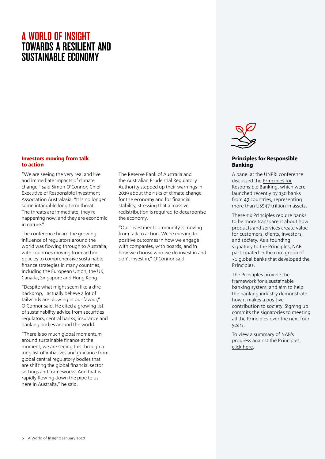## Investors moving from talk to action

"We are seeing the very real and live and immediate impacts of climate change," said Simon O'Connor, Chief Executive of Responsible Investment Association Australasia. "It is no longer some intangible long-term threat. The threats are immediate, they're happening now, and they are economic in nature."

The conference heard the growing influence of regulators around the world was flowing through to Australia, with countries moving from ad hoc policies to comprehensive sustainable finance strategies in many countries, including the European Union, the UK, Canada, Singapore and Hong Kong.

"Despite what might seem like a dire backdrop, I actually believe a lot of tailwinds are blowing in our favour," O'Connor said. He cited a growing list of sustainability advice from securities regulators, central banks, insurance and banking bodies around the world.

"There is so much global momentum around sustainable finance at the moment, we are seeing this through a long list of initiatives and guidance from global central regulatory bodies that are shifting the global financial sector settings and frameworks. And that is rapidly flowing down the pipe to us here in Australia," he said.

The Reserve Bank of Australia and the Australian Prudential Regulatory Authority stepped up their warnings in 2019 about the risks of climate change for the economy and for financial stability, stressing that a massive redistribution is required to decarbonise the economy.

"Our investment community is moving from talk to action. We're moving to positive outcomes in how we engage with companies, with boards, and in how we choose who we do invest in and don't invest in," O'Connor said.



## Principles for Responsible Banking

A panel at the UNPRI conference discussed the [Principles for](https://www.unepfi.org/banking/bankingprinciples/) [Responsible Banking,](https://www.unepfi.org/banking/bankingprinciples/) which were launched recently by 130 banks from 49 countries, representing more than US\$47 trillion in assets.

These six Principles require banks to be more transparent about how products and services create value for customers, clients, investors, and society. As a founding signatory to the Principles, NAB participated in the core group of 30 global banks that developed the Principles.

The Principles provide the framework for a sustainable banking system, and aim to help the banking industry demonstrate how it makes a positive contribution to society. Signing up commits the signatories to meeting all the Principles over the next four years.

To view a summary of NAB's progress against the Principles, [click here](https://www.nab.com.au/about-us/social-impact/shareholders/performance-and-reporting).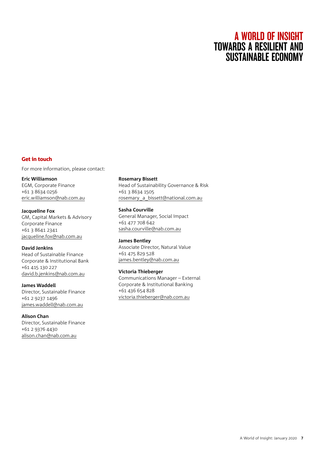# Get in touch

For more information, please contact:

# **Eric Williamson**

EGM, Corporate Finance +61 3 8634 0256 [eric.williamson@nab.com.au](mailto:eric.williamson@nab.com.au)

# **Jacqueline Fox**

GM, Capital Markets & Advisory Corporate Finance +61 3 8641 2341 [jacqueline.fox@nab.com.au](mailto:jacqueline.fox@nab.com.au)

# **David Jenkins**

Head of Sustainable Finance Corporate & Institutional Bank +61 415 130 227 [david.b.jenkins@nab.com.au](mailto:david.b.jenkins@nab.com.au)

# **James Waddell**

Director, Sustainable Finance +61 2 9237 1496 [james.waddell@nab.com.au](mailto:james.waddell@nab.com.au)

# **Alison Chan**

Director, Sustainable Finance +61 2 9376 4430 [alison.chan@nab.com.au](mailto:alison.chan@nab.com.au)

### **Rosemary Bissett**

Head of Sustainability Governance & Risk +61 3 8634 1505 [rosemary\\_a\\_bissett@national.com.au](mailto:rosemary_a_bissett@national.com.au)

# **Sasha Courville**

General Manager, Social Impact +61 477 708 642 [sasha.courville@nab.com.au](mailto:sasha.courville@nab.com.au)

# **James Bentley**

Associate Director, Natural Value +61 475 829 528 [james.bentley@nab.com.au](mailto:james.bentley@nab.com.au)

# **Victoria Thieberger**

Communications Manager – External Corporate & Institutional Banking +61 436 654 828 [victoria.thieberger@nab.com.au](mailto:victoria.thieberger@nab.com.au)